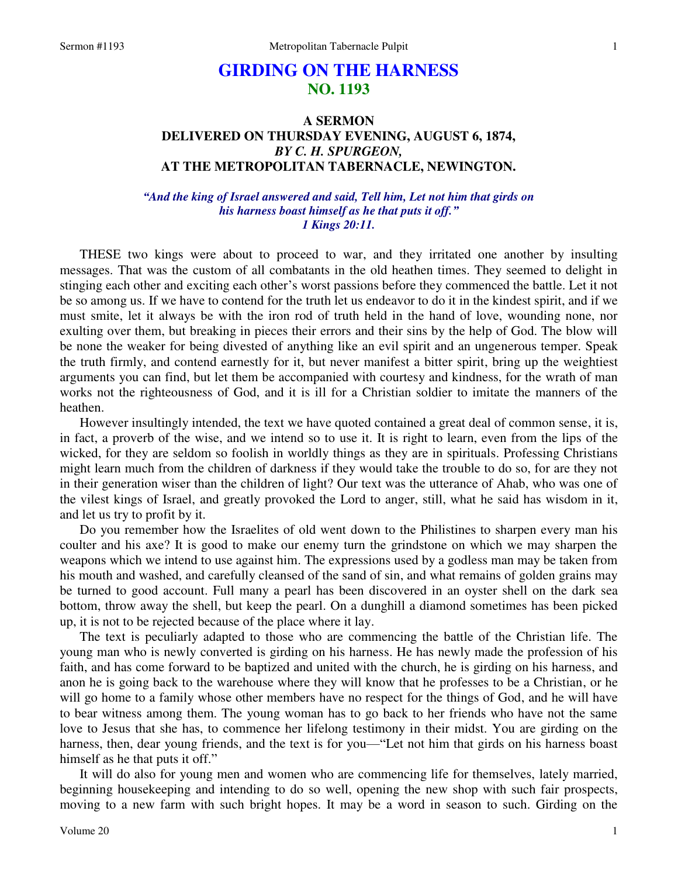# **GIRDING ON THE HARNESS NO. 1193**

# **A SERMON DELIVERED ON THURSDAY EVENING, AUGUST 6, 1874,**  *BY C. H. SPURGEON,*  **AT THE METROPOLITAN TABERNACLE, NEWINGTON.**

## *"And the king of Israel answered and said, Tell him, Let not him that girds on his harness boast himself as he that puts it off." 1 Kings 20:11.*

THESE two kings were about to proceed to war, and they irritated one another by insulting messages. That was the custom of all combatants in the old heathen times. They seemed to delight in stinging each other and exciting each other's worst passions before they commenced the battle. Let it not be so among us. If we have to contend for the truth let us endeavor to do it in the kindest spirit, and if we must smite, let it always be with the iron rod of truth held in the hand of love, wounding none, nor exulting over them, but breaking in pieces their errors and their sins by the help of God. The blow will be none the weaker for being divested of anything like an evil spirit and an ungenerous temper. Speak the truth firmly, and contend earnestly for it, but never manifest a bitter spirit, bring up the weightiest arguments you can find, but let them be accompanied with courtesy and kindness, for the wrath of man works not the righteousness of God, and it is ill for a Christian soldier to imitate the manners of the heathen.

However insultingly intended, the text we have quoted contained a great deal of common sense, it is, in fact, a proverb of the wise, and we intend so to use it. It is right to learn, even from the lips of the wicked, for they are seldom so foolish in worldly things as they are in spirituals. Professing Christians might learn much from the children of darkness if they would take the trouble to do so, for are they not in their generation wiser than the children of light? Our text was the utterance of Ahab, who was one of the vilest kings of Israel, and greatly provoked the Lord to anger, still, what he said has wisdom in it, and let us try to profit by it.

Do you remember how the Israelites of old went down to the Philistines to sharpen every man his coulter and his axe? It is good to make our enemy turn the grindstone on which we may sharpen the weapons which we intend to use against him. The expressions used by a godless man may be taken from his mouth and washed, and carefully cleansed of the sand of sin, and what remains of golden grains may be turned to good account. Full many a pearl has been discovered in an oyster shell on the dark sea bottom, throw away the shell, but keep the pearl. On a dunghill a diamond sometimes has been picked up, it is not to be rejected because of the place where it lay.

The text is peculiarly adapted to those who are commencing the battle of the Christian life. The young man who is newly converted is girding on his harness. He has newly made the profession of his faith, and has come forward to be baptized and united with the church, he is girding on his harness, and anon he is going back to the warehouse where they will know that he professes to be a Christian, or he will go home to a family whose other members have no respect for the things of God, and he will have to bear witness among them. The young woman has to go back to her friends who have not the same love to Jesus that she has, to commence her lifelong testimony in their midst. You are girding on the harness, then, dear young friends, and the text is for you—"Let not him that girds on his harness boast himself as he that puts it off."

It will do also for young men and women who are commencing life for themselves, lately married, beginning housekeeping and intending to do so well, opening the new shop with such fair prospects, moving to a new farm with such bright hopes. It may be a word in season to such. Girding on the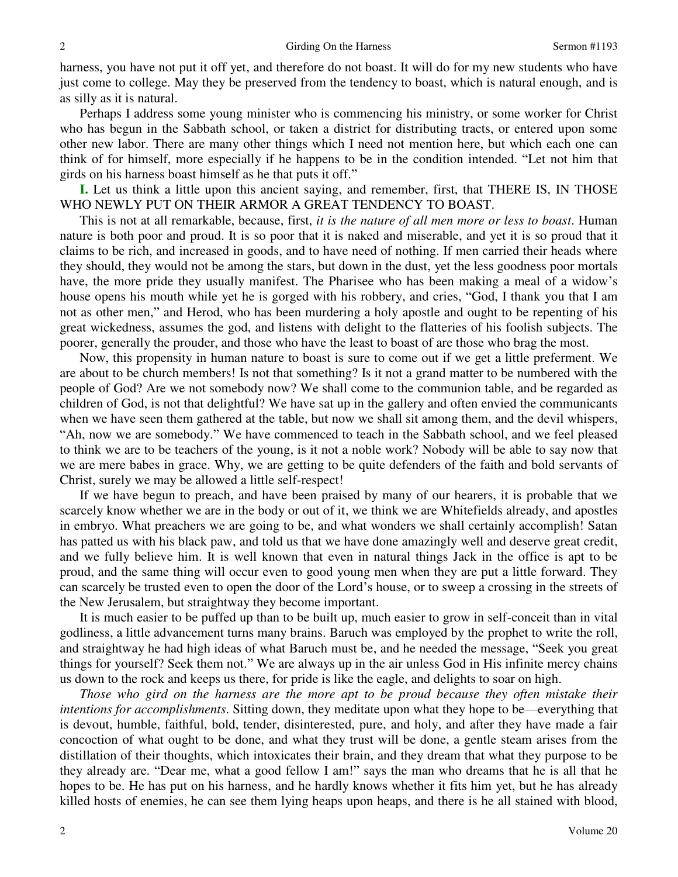harness, you have not put it off yet, and therefore do not boast. It will do for my new students who have just come to college. May they be preserved from the tendency to boast, which is natural enough, and is as silly as it is natural.

Perhaps I address some young minister who is commencing his ministry, or some worker for Christ who has begun in the Sabbath school, or taken a district for distributing tracts, or entered upon some other new labor. There are many other things which I need not mention here, but which each one can think of for himself, more especially if he happens to be in the condition intended. "Let not him that girds on his harness boast himself as he that puts it off."

**I.** Let us think a little upon this ancient saying, and remember, first, that THERE IS, IN THOSE WHO NEWLY PUT ON THEIR ARMOR A GREAT TENDENCY TO BOAST.

This is not at all remarkable, because, first, *it is the nature of all men more or less to boast*. Human nature is both poor and proud. It is so poor that it is naked and miserable, and yet it is so proud that it claims to be rich, and increased in goods, and to have need of nothing. If men carried their heads where they should, they would not be among the stars, but down in the dust, yet the less goodness poor mortals have, the more pride they usually manifest. The Pharisee who has been making a meal of a widow's house opens his mouth while yet he is gorged with his robbery, and cries, "God, I thank you that I am not as other men," and Herod, who has been murdering a holy apostle and ought to be repenting of his great wickedness, assumes the god, and listens with delight to the flatteries of his foolish subjects. The poorer, generally the prouder, and those who have the least to boast of are those who brag the most.

Now, this propensity in human nature to boast is sure to come out if we get a little preferment. We are about to be church members! Is not that something? Is it not a grand matter to be numbered with the people of God? Are we not somebody now? We shall come to the communion table, and be regarded as children of God, is not that delightful? We have sat up in the gallery and often envied the communicants when we have seen them gathered at the table, but now we shall sit among them, and the devil whispers, "Ah, now we are somebody." We have commenced to teach in the Sabbath school, and we feel pleased to think we are to be teachers of the young, is it not a noble work? Nobody will be able to say now that we are mere babes in grace. Why, we are getting to be quite defenders of the faith and bold servants of Christ, surely we may be allowed a little self-respect!

If we have begun to preach, and have been praised by many of our hearers, it is probable that we scarcely know whether we are in the body or out of it, we think we are Whitefields already, and apostles in embryo. What preachers we are going to be, and what wonders we shall certainly accomplish! Satan has patted us with his black paw, and told us that we have done amazingly well and deserve great credit, and we fully believe him. It is well known that even in natural things Jack in the office is apt to be proud, and the same thing will occur even to good young men when they are put a little forward. They can scarcely be trusted even to open the door of the Lord's house, or to sweep a crossing in the streets of the New Jerusalem, but straightway they become important.

It is much easier to be puffed up than to be built up, much easier to grow in self-conceit than in vital godliness, a little advancement turns many brains. Baruch was employed by the prophet to write the roll, and straightway he had high ideas of what Baruch must be, and he needed the message, "Seek you great things for yourself? Seek them not." We are always up in the air unless God in His infinite mercy chains us down to the rock and keeps us there, for pride is like the eagle, and delights to soar on high.

*Those who gird on the harness are the more apt to be proud because they often mistake their intentions for accomplishments*. Sitting down, they meditate upon what they hope to be—everything that is devout, humble, faithful, bold, tender, disinterested, pure, and holy, and after they have made a fair concoction of what ought to be done, and what they trust will be done, a gentle steam arises from the distillation of their thoughts, which intoxicates their brain, and they dream that what they purpose to be they already are. "Dear me, what a good fellow I am!" says the man who dreams that he is all that he hopes to be. He has put on his harness, and he hardly knows whether it fits him yet, but he has already killed hosts of enemies, he can see them lying heaps upon heaps, and there is he all stained with blood,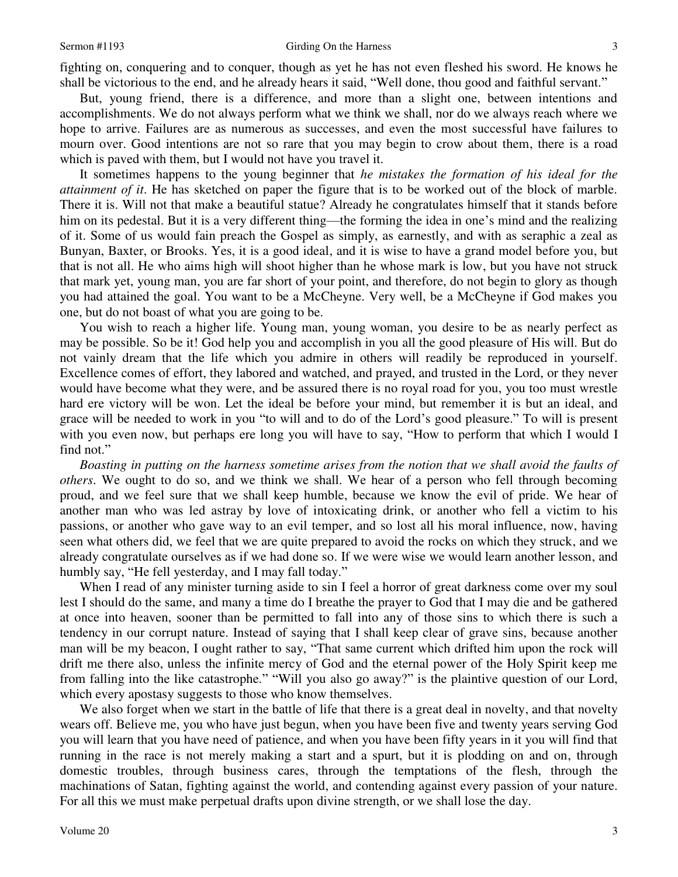fighting on, conquering and to conquer, though as yet he has not even fleshed his sword. He knows he shall be victorious to the end, and he already hears it said, "Well done, thou good and faithful servant."

But, young friend, there is a difference, and more than a slight one, between intentions and accomplishments. We do not always perform what we think we shall, nor do we always reach where we hope to arrive. Failures are as numerous as successes, and even the most successful have failures to mourn over. Good intentions are not so rare that you may begin to crow about them, there is a road which is paved with them, but I would not have you travel it.

It sometimes happens to the young beginner that *he mistakes the formation of his ideal for the attainment of it*. He has sketched on paper the figure that is to be worked out of the block of marble. There it is. Will not that make a beautiful statue? Already he congratulates himself that it stands before him on its pedestal. But it is a very different thing—the forming the idea in one's mind and the realizing of it. Some of us would fain preach the Gospel as simply, as earnestly, and with as seraphic a zeal as Bunyan, Baxter, or Brooks. Yes, it is a good ideal, and it is wise to have a grand model before you, but that is not all. He who aims high will shoot higher than he whose mark is low, but you have not struck that mark yet, young man, you are far short of your point, and therefore, do not begin to glory as though you had attained the goal. You want to be a McCheyne. Very well, be a McCheyne if God makes you one, but do not boast of what you are going to be.

You wish to reach a higher life. Young man, young woman, you desire to be as nearly perfect as may be possible. So be it! God help you and accomplish in you all the good pleasure of His will. But do not vainly dream that the life which you admire in others will readily be reproduced in yourself. Excellence comes of effort, they labored and watched, and prayed, and trusted in the Lord, or they never would have become what they were, and be assured there is no royal road for you, you too must wrestle hard ere victory will be won. Let the ideal be before your mind, but remember it is but an ideal, and grace will be needed to work in you "to will and to do of the Lord's good pleasure." To will is present with you even now, but perhaps ere long you will have to say, "How to perform that which I would I find not."

*Boasting in putting on the harness sometime arises from the notion that we shall avoid the faults of others*. We ought to do so, and we think we shall. We hear of a person who fell through becoming proud, and we feel sure that we shall keep humble, because we know the evil of pride. We hear of another man who was led astray by love of intoxicating drink, or another who fell a victim to his passions, or another who gave way to an evil temper, and so lost all his moral influence, now, having seen what others did, we feel that we are quite prepared to avoid the rocks on which they struck, and we already congratulate ourselves as if we had done so. If we were wise we would learn another lesson, and humbly say, "He fell yesterday, and I may fall today."

When I read of any minister turning aside to sin I feel a horror of great darkness come over my soul lest I should do the same, and many a time do I breathe the prayer to God that I may die and be gathered at once into heaven, sooner than be permitted to fall into any of those sins to which there is such a tendency in our corrupt nature. Instead of saying that I shall keep clear of grave sins, because another man will be my beacon, I ought rather to say, "That same current which drifted him upon the rock will drift me there also, unless the infinite mercy of God and the eternal power of the Holy Spirit keep me from falling into the like catastrophe." "Will you also go away?" is the plaintive question of our Lord, which every apostasy suggests to those who know themselves.

We also forget when we start in the battle of life that there is a great deal in novelty, and that novelty wears off. Believe me, you who have just begun, when you have been five and twenty years serving God you will learn that you have need of patience, and when you have been fifty years in it you will find that running in the race is not merely making a start and a spurt, but it is plodding on and on, through domestic troubles, through business cares, through the temptations of the flesh, through the machinations of Satan, fighting against the world, and contending against every passion of your nature. For all this we must make perpetual drafts upon divine strength, or we shall lose the day.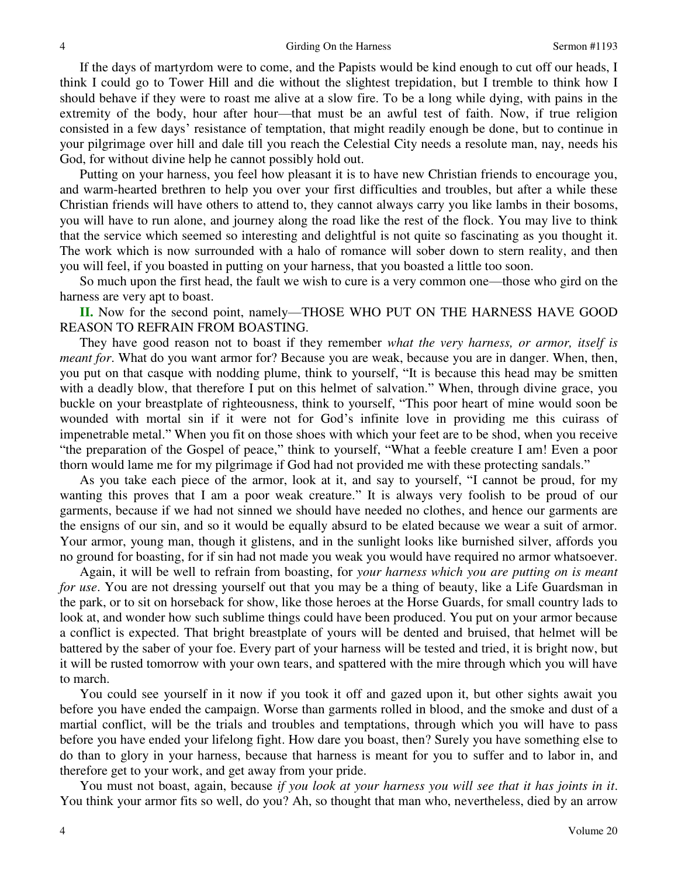If the days of martyrdom were to come, and the Papists would be kind enough to cut off our heads, I think I could go to Tower Hill and die without the slightest trepidation, but I tremble to think how I should behave if they were to roast me alive at a slow fire. To be a long while dying, with pains in the extremity of the body, hour after hour—that must be an awful test of faith. Now, if true religion consisted in a few days' resistance of temptation, that might readily enough be done, but to continue in your pilgrimage over hill and dale till you reach the Celestial City needs a resolute man, nay, needs his God, for without divine help he cannot possibly hold out.

Putting on your harness, you feel how pleasant it is to have new Christian friends to encourage you, and warm-hearted brethren to help you over your first difficulties and troubles, but after a while these Christian friends will have others to attend to, they cannot always carry you like lambs in their bosoms, you will have to run alone, and journey along the road like the rest of the flock. You may live to think that the service which seemed so interesting and delightful is not quite so fascinating as you thought it. The work which is now surrounded with a halo of romance will sober down to stern reality, and then you will feel, if you boasted in putting on your harness, that you boasted a little too soon.

So much upon the first head, the fault we wish to cure is a very common one—those who gird on the harness are very apt to boast.

**II.** Now for the second point, namely—THOSE WHO PUT ON THE HARNESS HAVE GOOD REASON TO REFRAIN FROM BOASTING.

They have good reason not to boast if they remember *what the very harness, or armor, itself is meant for*. What do you want armor for? Because you are weak, because you are in danger. When, then, you put on that casque with nodding plume, think to yourself, "It is because this head may be smitten with a deadly blow, that therefore I put on this helmet of salvation." When, through divine grace, you buckle on your breastplate of righteousness, think to yourself, "This poor heart of mine would soon be wounded with mortal sin if it were not for God's infinite love in providing me this cuirass of impenetrable metal." When you fit on those shoes with which your feet are to be shod, when you receive "the preparation of the Gospel of peace," think to yourself, "What a feeble creature I am! Even a poor thorn would lame me for my pilgrimage if God had not provided me with these protecting sandals."

As you take each piece of the armor, look at it, and say to yourself, "I cannot be proud, for my wanting this proves that I am a poor weak creature." It is always very foolish to be proud of our garments, because if we had not sinned we should have needed no clothes, and hence our garments are the ensigns of our sin, and so it would be equally absurd to be elated because we wear a suit of armor. Your armor, young man, though it glistens, and in the sunlight looks like burnished silver, affords you no ground for boasting, for if sin had not made you weak you would have required no armor whatsoever.

Again, it will be well to refrain from boasting, for *your harness which you are putting on is meant for use*. You are not dressing yourself out that you may be a thing of beauty, like a Life Guardsman in the park, or to sit on horseback for show, like those heroes at the Horse Guards, for small country lads to look at, and wonder how such sublime things could have been produced. You put on your armor because a conflict is expected. That bright breastplate of yours will be dented and bruised, that helmet will be battered by the saber of your foe. Every part of your harness will be tested and tried, it is bright now, but it will be rusted tomorrow with your own tears, and spattered with the mire through which you will have to march.

You could see yourself in it now if you took it off and gazed upon it, but other sights await you before you have ended the campaign. Worse than garments rolled in blood, and the smoke and dust of a martial conflict, will be the trials and troubles and temptations, through which you will have to pass before you have ended your lifelong fight. How dare you boast, then? Surely you have something else to do than to glory in your harness, because that harness is meant for you to suffer and to labor in, and therefore get to your work, and get away from your pride.

You must not boast, again, because *if you look at your harness you will see that it has joints in it*. You think your armor fits so well, do you? Ah, so thought that man who, nevertheless, died by an arrow

4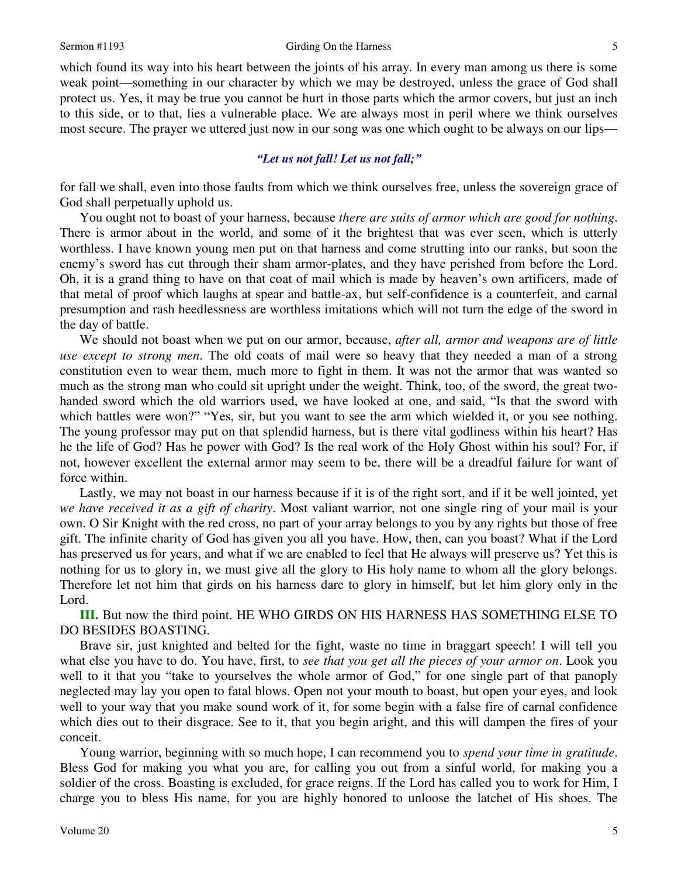5

which found its way into his heart between the joints of his array. In every man among us there is some weak point—something in our character by which we may be destroyed, unless the grace of God shall protect us. Yes, it may be true you cannot be hurt in those parts which the armor covers, but just an inch to this side, or to that, lies a vulnerable place. We are always most in peril where we think ourselves most secure. The prayer we uttered just now in our song was one which ought to be always on our lips—

## *"Let us not fall! Let us not fall;"*

for fall we shall, even into those faults from which we think ourselves free, unless the sovereign grace of God shall perpetually uphold us.

You ought not to boast of your harness, because *there are suits of armor which are good for nothing*. There is armor about in the world, and some of it the brightest that was ever seen, which is utterly worthless. I have known young men put on that harness and come strutting into our ranks, but soon the enemy's sword has cut through their sham armor-plates, and they have perished from before the Lord. Oh, it is a grand thing to have on that coat of mail which is made by heaven's own artificers, made of that metal of proof which laughs at spear and battle-ax, but self-confidence is a counterfeit, and carnal presumption and rash heedlessness are worthless imitations which will not turn the edge of the sword in the day of battle.

We should not boast when we put on our armor, because, *after all, armor and weapons are of little use except to strong men*. The old coats of mail were so heavy that they needed a man of a strong constitution even to wear them, much more to fight in them. It was not the armor that was wanted so much as the strong man who could sit upright under the weight. Think, too, of the sword, the great twohanded sword which the old warriors used, we have looked at one, and said, "Is that the sword with which battles were won?" "Yes, sir, but you want to see the arm which wielded it, or you see nothing. The young professor may put on that splendid harness, but is there vital godliness within his heart? Has he the life of God? Has he power with God? Is the real work of the Holy Ghost within his soul? For, if not, however excellent the external armor may seem to be, there will be a dreadful failure for want of force within.

Lastly, we may not boast in our harness because if it is of the right sort, and if it be well jointed, yet *we have received it as a gift of charity*. Most valiant warrior, not one single ring of your mail is your own. O Sir Knight with the red cross, no part of your array belongs to you by any rights but those of free gift. The infinite charity of God has given you all you have. How, then, can you boast? What if the Lord has preserved us for years, and what if we are enabled to feel that He always will preserve us? Yet this is nothing for us to glory in, we must give all the glory to His holy name to whom all the glory belongs. Therefore let not him that girds on his harness dare to glory in himself, but let him glory only in the Lord.

**III.** But now the third point. HE WHO GIRDS ON HIS HARNESS HAS SOMETHING ELSE TO DO BESIDES BOASTING.

Brave sir, just knighted and belted for the fight, waste no time in braggart speech! I will tell you what else you have to do. You have, first, to *see that you get all the pieces of your armor on*. Look you well to it that you "take to yourselves the whole armor of God," for one single part of that panoply neglected may lay you open to fatal blows. Open not your mouth to boast, but open your eyes, and look well to your way that you make sound work of it, for some begin with a false fire of carnal confidence which dies out to their disgrace. See to it, that you begin aright, and this will dampen the fires of your conceit.

Young warrior, beginning with so much hope, I can recommend you to *spend your time in gratitude*. Bless God for making you what you are, for calling you out from a sinful world, for making you a soldier of the cross. Boasting is excluded, for grace reigns. If the Lord has called you to work for Him, I charge you to bless His name, for you are highly honored to unloose the latchet of His shoes. The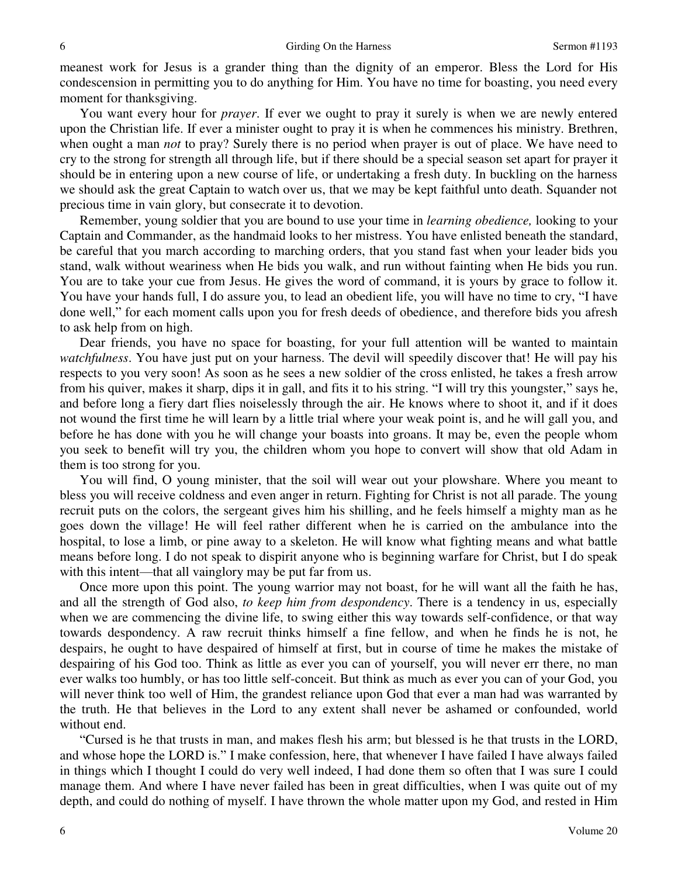meanest work for Jesus is a grander thing than the dignity of an emperor. Bless the Lord for His condescension in permitting you to do anything for Him. You have no time for boasting, you need every moment for thanksgiving.

You want every hour for *prayer*. If ever we ought to pray it surely is when we are newly entered upon the Christian life. If ever a minister ought to pray it is when he commences his ministry. Brethren, when ought a man *not* to pray? Surely there is no period when prayer is out of place. We have need to cry to the strong for strength all through life, but if there should be a special season set apart for prayer it should be in entering upon a new course of life, or undertaking a fresh duty. In buckling on the harness we should ask the great Captain to watch over us, that we may be kept faithful unto death. Squander not precious time in vain glory, but consecrate it to devotion.

Remember, young soldier that you are bound to use your time in *learning obedience,* looking to your Captain and Commander, as the handmaid looks to her mistress. You have enlisted beneath the standard, be careful that you march according to marching orders, that you stand fast when your leader bids you stand, walk without weariness when He bids you walk, and run without fainting when He bids you run. You are to take your cue from Jesus. He gives the word of command, it is yours by grace to follow it. You have your hands full, I do assure you, to lead an obedient life, you will have no time to cry, "I have done well," for each moment calls upon you for fresh deeds of obedience, and therefore bids you afresh to ask help from on high.

Dear friends, you have no space for boasting, for your full attention will be wanted to maintain *watchfulness*. You have just put on your harness. The devil will speedily discover that! He will pay his respects to you very soon! As soon as he sees a new soldier of the cross enlisted, he takes a fresh arrow from his quiver, makes it sharp, dips it in gall, and fits it to his string. "I will try this youngster," says he, and before long a fiery dart flies noiselessly through the air. He knows where to shoot it, and if it does not wound the first time he will learn by a little trial where your weak point is, and he will gall you, and before he has done with you he will change your boasts into groans. It may be, even the people whom you seek to benefit will try you, the children whom you hope to convert will show that old Adam in them is too strong for you.

You will find, O young minister, that the soil will wear out your plowshare. Where you meant to bless you will receive coldness and even anger in return. Fighting for Christ is not all parade. The young recruit puts on the colors, the sergeant gives him his shilling, and he feels himself a mighty man as he goes down the village! He will feel rather different when he is carried on the ambulance into the hospital, to lose a limb, or pine away to a skeleton. He will know what fighting means and what battle means before long. I do not speak to dispirit anyone who is beginning warfare for Christ, but I do speak with this intent—that all vainglory may be put far from us.

Once more upon this point. The young warrior may not boast, for he will want all the faith he has, and all the strength of God also, *to keep him from despondency*. There is a tendency in us, especially when we are commencing the divine life, to swing either this way towards self-confidence, or that way towards despondency. A raw recruit thinks himself a fine fellow, and when he finds he is not, he despairs, he ought to have despaired of himself at first, but in course of time he makes the mistake of despairing of his God too. Think as little as ever you can of yourself, you will never err there, no man ever walks too humbly, or has too little self-conceit. But think as much as ever you can of your God, you will never think too well of Him, the grandest reliance upon God that ever a man had was warranted by the truth. He that believes in the Lord to any extent shall never be ashamed or confounded, world without end.

"Cursed is he that trusts in man, and makes flesh his arm; but blessed is he that trusts in the LORD, and whose hope the LORD is." I make confession, here, that whenever I have failed I have always failed in things which I thought I could do very well indeed, I had done them so often that I was sure I could manage them. And where I have never failed has been in great difficulties, when I was quite out of my depth, and could do nothing of myself. I have thrown the whole matter upon my God, and rested in Him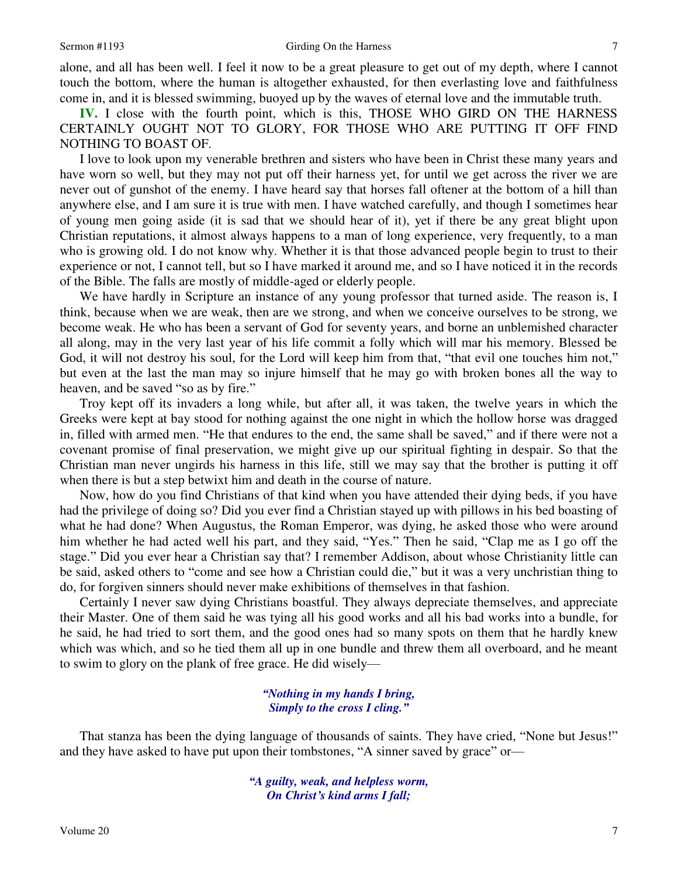alone, and all has been well. I feel it now to be a great pleasure to get out of my depth, where I cannot touch the bottom, where the human is altogether exhausted, for then everlasting love and faithfulness come in, and it is blessed swimming, buoyed up by the waves of eternal love and the immutable truth.

**IV.** I close with the fourth point, which is this, THOSE WHO GIRD ON THE HARNESS CERTAINLY OUGHT NOT TO GLORY, FOR THOSE WHO ARE PUTTING IT OFF FIND NOTHING TO BOAST OF.

I love to look upon my venerable brethren and sisters who have been in Christ these many years and have worn so well, but they may not put off their harness yet, for until we get across the river we are never out of gunshot of the enemy. I have heard say that horses fall oftener at the bottom of a hill than anywhere else, and I am sure it is true with men. I have watched carefully, and though I sometimes hear of young men going aside (it is sad that we should hear of it), yet if there be any great blight upon Christian reputations, it almost always happens to a man of long experience, very frequently, to a man who is growing old. I do not know why. Whether it is that those advanced people begin to trust to their experience or not, I cannot tell, but so I have marked it around me, and so I have noticed it in the records of the Bible. The falls are mostly of middle-aged or elderly people.

We have hardly in Scripture an instance of any young professor that turned aside. The reason is, I think, because when we are weak, then are we strong, and when we conceive ourselves to be strong, we become weak. He who has been a servant of God for seventy years, and borne an unblemished character all along, may in the very last year of his life commit a folly which will mar his memory. Blessed be God, it will not destroy his soul, for the Lord will keep him from that, "that evil one touches him not," but even at the last the man may so injure himself that he may go with broken bones all the way to heaven, and be saved "so as by fire."

Troy kept off its invaders a long while, but after all, it was taken, the twelve years in which the Greeks were kept at bay stood for nothing against the one night in which the hollow horse was dragged in, filled with armed men. "He that endures to the end, the same shall be saved," and if there were not a covenant promise of final preservation, we might give up our spiritual fighting in despair. So that the Christian man never ungirds his harness in this life, still we may say that the brother is putting it off when there is but a step betwixt him and death in the course of nature.

Now, how do you find Christians of that kind when you have attended their dying beds, if you have had the privilege of doing so? Did you ever find a Christian stayed up with pillows in his bed boasting of what he had done? When Augustus, the Roman Emperor, was dying, he asked those who were around him whether he had acted well his part, and they said, "Yes." Then he said, "Clap me as I go off the stage." Did you ever hear a Christian say that? I remember Addison, about whose Christianity little can be said, asked others to "come and see how a Christian could die," but it was a very unchristian thing to do, for forgiven sinners should never make exhibitions of themselves in that fashion.

Certainly I never saw dying Christians boastful. They always depreciate themselves, and appreciate their Master. One of them said he was tying all his good works and all his bad works into a bundle, for he said, he had tried to sort them, and the good ones had so many spots on them that he hardly knew which was which, and so he tied them all up in one bundle and threw them all overboard, and he meant to swim to glory on the plank of free grace. He did wisely—

## *"Nothing in my hands I bring, Simply to the cross I cling."*

 That stanza has been the dying language of thousands of saints. They have cried, "None but Jesus!" and they have asked to have put upon their tombstones, "A sinner saved by grace" or—

> *"A guilty, weak, and helpless worm, On Christ's kind arms I fall;*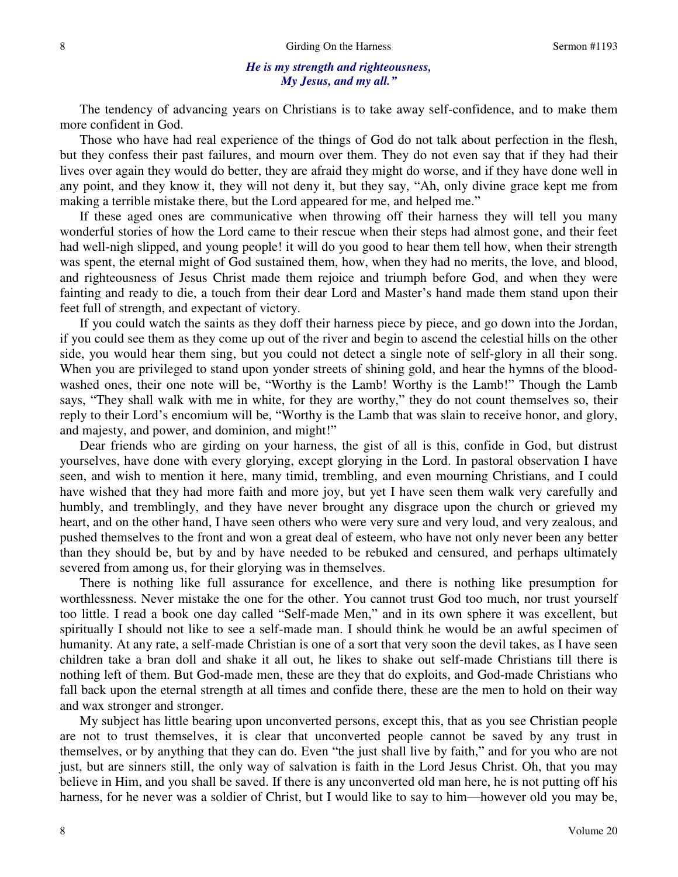#### *He is my strength and righteousness, My Jesus, and my all."*

The tendency of advancing years on Christians is to take away self-confidence, and to make them more confident in God.

 Those who have had real experience of the things of God do not talk about perfection in the flesh, but they confess their past failures, and mourn over them. They do not even say that if they had their lives over again they would do better, they are afraid they might do worse, and if they have done well in any point, and they know it, they will not deny it, but they say, "Ah, only divine grace kept me from making a terrible mistake there, but the Lord appeared for me, and helped me."

 If these aged ones are communicative when throwing off their harness they will tell you many wonderful stories of how the Lord came to their rescue when their steps had almost gone, and their feet had well-nigh slipped, and young people! it will do you good to hear them tell how, when their strength was spent, the eternal might of God sustained them, how, when they had no merits, the love, and blood, and righteousness of Jesus Christ made them rejoice and triumph before God, and when they were fainting and ready to die, a touch from their dear Lord and Master's hand made them stand upon their feet full of strength, and expectant of victory.

 If you could watch the saints as they doff their harness piece by piece, and go down into the Jordan, if you could see them as they come up out of the river and begin to ascend the celestial hills on the other side, you would hear them sing, but you could not detect a single note of self-glory in all their song. When you are privileged to stand upon yonder streets of shining gold, and hear the hymns of the bloodwashed ones, their one note will be, "Worthy is the Lamb! Worthy is the Lamb!" Though the Lamb says, "They shall walk with me in white, for they are worthy," they do not count themselves so, their reply to their Lord's encomium will be, "Worthy is the Lamb that was slain to receive honor, and glory, and majesty, and power, and dominion, and might!"

Dear friends who are girding on your harness, the gist of all is this, confide in God, but distrust yourselves, have done with every glorying, except glorying in the Lord. In pastoral observation I have seen, and wish to mention it here, many timid, trembling, and even mourning Christians, and I could have wished that they had more faith and more joy, but yet I have seen them walk very carefully and humbly, and tremblingly, and they have never brought any disgrace upon the church or grieved my heart, and on the other hand, I have seen others who were very sure and very loud, and very zealous, and pushed themselves to the front and won a great deal of esteem, who have not only never been any better than they should be, but by and by have needed to be rebuked and censured, and perhaps ultimately severed from among us, for their glorying was in themselves.

There is nothing like full assurance for excellence, and there is nothing like presumption for worthlessness. Never mistake the one for the other. You cannot trust God too much, nor trust yourself too little. I read a book one day called "Self-made Men," and in its own sphere it was excellent, but spiritually I should not like to see a self-made man. I should think he would be an awful specimen of humanity. At any rate, a self-made Christian is one of a sort that very soon the devil takes, as I have seen children take a bran doll and shake it all out, he likes to shake out self-made Christians till there is nothing left of them. But God-made men, these are they that do exploits, and God-made Christians who fall back upon the eternal strength at all times and confide there, these are the men to hold on their way and wax stronger and stronger.

My subject has little bearing upon unconverted persons, except this, that as you see Christian people are not to trust themselves, it is clear that unconverted people cannot be saved by any trust in themselves, or by anything that they can do. Even "the just shall live by faith," and for you who are not just, but are sinners still, the only way of salvation is faith in the Lord Jesus Christ. Oh, that you may believe in Him, and you shall be saved. If there is any unconverted old man here, he is not putting off his harness, for he never was a soldier of Christ, but I would like to say to him—however old you may be,